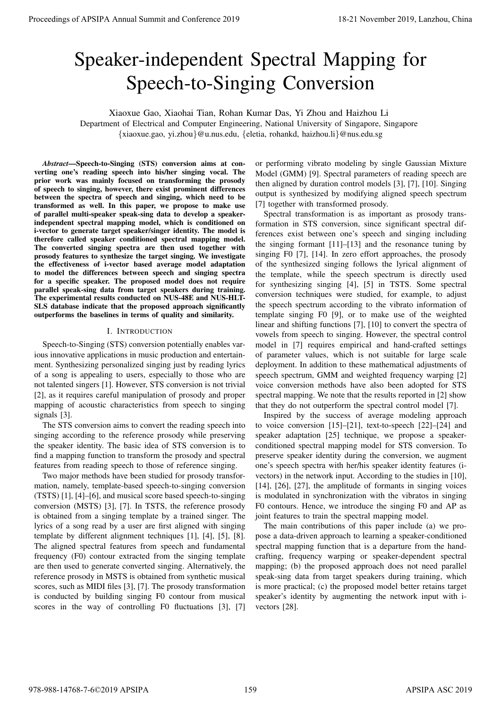# Speaker-independent Spectral Mapping for Speech-to-Singing Conversion

Xiaoxue Gao, Xiaohai Tian, Rohan Kumar Das, Yi Zhou and Haizhou Li

Department of Electrical and Computer Engineering, National University of Singapore, Singapore {xiaoxue.gao, yi.zhou}@u.nus.edu, {eletia, rohankd, haizhou.li}@nus.edu.sg

*Abstract*—Speech-to-Singing (STS) conversion aims at converting one's reading speech into his/her singing vocal. The prior work was mainly focused on transforming the prosody of speech to singing, however, there exist prominent differences between the spectra of speech and singing, which need to be transformed as well. In this paper, we propose to make use of parallel multi-speaker speak-sing data to develop a speakerindependent spectral mapping model, which is conditioned on i-vector to generate target speaker/singer identity. The model is therefore called speaker conditioned spectral mapping model. The converted singing spectra are then used together with prosody features to synthesize the target singing. We investigate the effectiveness of i-vector based average model adaptation to model the differences between speech and singing spectra for a specific speaker. The proposed model does not require parallel speak-sing data from target speakers during training. The experimental results conducted on NUS-48E and NUS-HLT-SLS database indicate that the proposed approach significantly outperforms the baselines in terms of quality and similarity.

# I. INTRODUCTION

Speech-to-Singing (STS) conversion potentially enables various innovative applications in music production and entertainment. Synthesizing personalized singing just by reading lyrics of a song is appealing to users, especially to those who are not talented singers [1]. However, STS conversion is not trivial [2], as it requires careful manipulation of prosody and proper mapping of acoustic characteristics from speech to singing signals [3].

The STS conversion aims to convert the reading speech into singing according to the reference prosody while preserving the speaker identity. The basic idea of STS conversion is to find a mapping function to transform the prosody and spectral features from reading speech to those of reference singing.

Two major methods have been studied for prosody transformation, namely, template-based speech-to-singing conversion (TSTS) [1], [4]–[6], and musical score based speech-to-singing conversion (MSTS) [3], [7]. In TSTS, the reference prosody is obtained from a singing template by a trained singer. The lyrics of a song read by a user are first aligned with singing template by different alignment techniques [1], [4], [5], [8]. The aligned spectral features from speech and fundamental frequency (F0) contour extracted from the singing template are then used to generate converted singing. Alternatively, the reference prosody in MSTS is obtained from synthetic musical scores, such as MIDI files [3], [7]. The prosody transformation is conducted by building singing F0 contour from musical scores in the way of controlling F0 fluctuations [3], [7]

or performing vibrato modeling by single Gaussian Mixture Model (GMM) [9]. Spectral parameters of reading speech are then aligned by duration control models [3], [7], [10]. Singing output is synthesized by modifying aligned speech spectrum [7] together with transformed prosody.

Spectral transformation is as important as prosody transformation in STS conversion, since significant spectral differences exist between one's speech and singing including the singing formant  $[11]$ – $[13]$  and the resonance tuning by singing F0 [7], [14]. In zero effort approaches, the prosody of the synthesized singing follows the lyrical alignment of the template, while the speech spectrum is directly used for synthesizing singing [4], [5] in TSTS. Some spectral conversion techniques were studied, for example, to adjust the speech spectrum according to the vibrato information of template singing F0 [9], or to make use of the weighted linear and shifting functions [7], [10] to convert the spectra of vowels from speech to singing. However, the spectral control model in [7] requires empirical and hand-crafted settings of parameter values, which is not suitable for large scale deployment. In addition to these mathematical adjustments of speech spectrum, GMM and weighted frequency warping [2] voice conversion methods have also been adopted for STS spectral mapping. We note that the results reported in [2] show that they do not outperform the spectral control model [7]. **Proceedings of APSIPA Annual Summit and Conference 2019**<br>
Specific Specifical Mapping for Specific Specific Specific Specific Summit and Conference 2019, Langlace 2019, Langlace 2019, Langlace 2019, Langlace 2019, Langla

Inspired by the success of average modeling approach to voice conversion [15]–[21], text-to-speech [22]–[24] and speaker adaptation [25] technique, we propose a speakerconditioned spectral mapping model for STS conversion. To preserve speaker identity during the conversion, we augment one's speech spectra with her/his speaker identity features (ivectors) in the network input. According to the studies in [10], [14], [26], [27], the amplitude of formants in singing voices is modulated in synchronization with the vibratos in singing F0 contours. Hence, we introduce the singing F0 and AP as joint features to train the spectral mapping model.

The main contributions of this paper include (a) we propose a data-driven approach to learning a speaker-conditioned spectral mapping function that is a departure from the handcrafting, frequency warping or speaker-dependent spectral mapping; (b) the proposed approach does not need parallel speak-sing data from target speakers during training, which is more practical; (c) the proposed model better retains target speaker's identity by augmenting the network input with ivectors [28].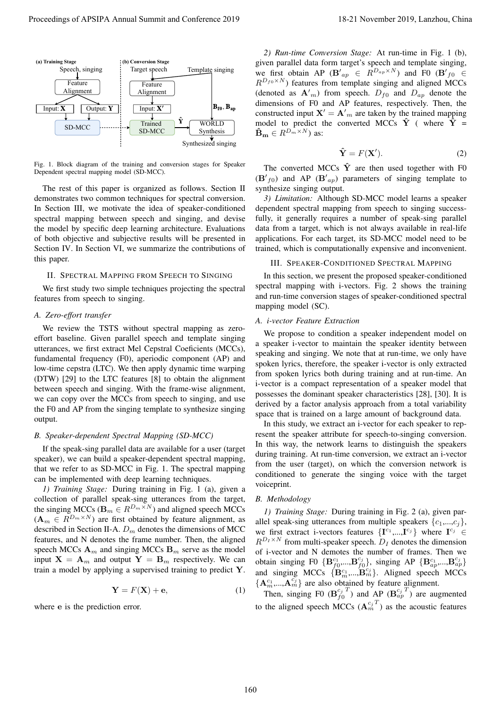

Fig. 1. Block diagram of the training and conversion stages for Speaker Dependent spectral mapping model (SD-MCC).

The rest of this paper is organized as follows. Section II demonstrates two common techniques for spectral conversion. In Section III, we motivate the idea of speaker-conditioned spectral mapping between speech and singing, and devise the model by specific deep learning architecture. Evaluations of both objective and subjective results will be presented in Section IV. In Section VI, we summarize the contributions of this paper.

#### II. SPECTRAL MAPPING FROM SPEECH TO SINGING

We first study two simple techniques projecting the spectral features from speech to singing.

#### *A. Zero-effort transfer*

We review the TSTS without spectral mapping as zeroeffort baseline. Given parallel speech and template singing utterances, we first extract Mel Cepstral Coeficients (MCCs), fundamental frequency (F0), aperiodic component (AP) and low-time cepstra (LTC). We then apply dynamic time warping (DTW) [29] to the LTC features [8] to obtain the alignment between speech and singing. With the frame-wise alignment, we can copy over the MCCs from speech to singing, and use the F0 and AP from the singing template to synthesize singing output.

#### *B. Speaker-dependent Spectral Mapping (SD-MCC)*

If the speak-sing parallel data are available for a user (target speaker), we can build a speaker-dependent spectral mapping, that we refer to as SD-MCC in Fig. 1. The spectral mapping can be implemented with deep learning techniques.

*1) Training Stage:* During training in Fig. 1 (a), given a collection of parallel speak-sing utterances from the target, the singing MCCs ( $\mathbf{B}_m \in R^{D_m \times N}$ ) and aligned speech MCCs  $(A_m \in R^{D_m \times N})$  are first obtained by feature alignment, as described in Section II-A.  $D_m$  denotes the dimensions of MCC features, and N denotes the frame number. Then, the aligned speech MCCs  $A_m$  and singing MCCs  $B_m$  serve as the model input  $X = A_m$  and output  $Y = B_m$  respectively. We can train a model by applying a supervised training to predict Y.

$$
\mathbf{Y} = F(\mathbf{X}) + \mathbf{e},\tag{1}
$$

where e is the prediction error.

*2) Run-time Conversion Stage:* At run-time in Fig. 1 (b), given parallel data form target's speech and template singing, we first obtain AP ( $\mathbf{B'}_{ap} \in R^{D_{ap} \times N}$ ) and F0 ( $\mathbf{B'}_{f0} \in$  $R^{D_{f0} \times N}$ ) features from template singing and aligned MCCs (denoted as  $\mathbf{A}'_m$ ) from speech.  $D_{f0}$  and  $D_{ap}$  denote the dimensions of F0 and AP features, respectively. Then, the constructed input  $X' = A'_m$  are taken by the trained mapping model to predict the converted MCCs  $\hat{Y}$  (where  $\hat{Y}$  =  $\mathbf{\hat{B}}_{m} \in R^{D_m \times N}$  as:

$$
\hat{\mathbf{Y}} = F(\mathbf{X}'). \tag{2}
$$

The converted MCCs  $\hat{Y}$  are then used together with F0  $({\bf B'}_{f0})$  and AP  $({\bf B'}_{ap})$  parameters of singing template to synthesize singing output.

*3) Limitation:* Although SD-MCC model learns a speaker dependent spectral mapping from speech to singing successfully, it generally requires a number of speak-sing parallel data from a target, which is not always available in real-life applications. For each target, its SD-MCC model need to be trained, which is computationally expensive and inconvenient.

## III. SPEAKER-CONDITIONED SPECTRAL MAPPING

In this section, we present the proposed speaker-conditioned spectral mapping with i-vectors. Fig. 2 shows the training and run-time conversion stages of speaker-conditioned spectral mapping model (SC).

## *A. i-vector Feature Extraction*

We propose to condition a speaker independent model on a speaker i-vector to maintain the speaker identity between speaking and singing. We note that at run-time, we only have spoken lyrics, therefore, the speaker i-vector is only extracted from spoken lyrics both during training and at run-time. An i-vector is a compact representation of a speaker model that possesses the dominant speaker characteristics [28], [30]. It is derived by a factor analysis approach from a total variability space that is trained on a large amount of background data.

In this study, we extract an i-vector for each speaker to represent the speaker attribute for speech-to-singing conversion. In this way, the network learns to distinguish the speakers during training. At run-time conversion, we extract an i-vector from the user (target), on which the conversion network is conditioned to generate the singing voice with the target voiceprint.

#### *B. Methodology*

*1) Training Stage:* During training in Fig. 2 (a), given parallel speak-sing utterances from multiple speakers  $\{c_1,...,c_i\}$ , we first extract i-vectors features  $\{\mathbf I^{c_1},...,\mathbf I^{c_j}\}$  where  $\mathbf I^{c_j} \in$  $R^{D_I \times N}$  from multi-speaker speech.  $D_I$  denotes the dimension of i-vector and N demotes the number of frames. Then we obtain singing F0  $\{B_{f0}^{c_1},...,B_{f0}^{c_j}\}$ , singing AP  $\{B_{ap}^{c_1},...,B_{ap}^{c_j}\}$ and singing MCCs  $\{ \mathbf{B}_{m}^{c_1},...,\mathbf{B}_{m}^{c_j} \}$ . Aligned speech MCCs  $\{A_m^{c_1},...,A_m^{c_j}\}$  are also obtained by feature alignment.

Then, singing F0 ( $\mathbf{B}_{f0}^{c_j}$  $T$ ) and AP ( $\mathbf{B}_{ap}^{c_j T}$ ) are augmented to the aligned speech MCCs  $(A_m^{c_j T})$  as the acoustic features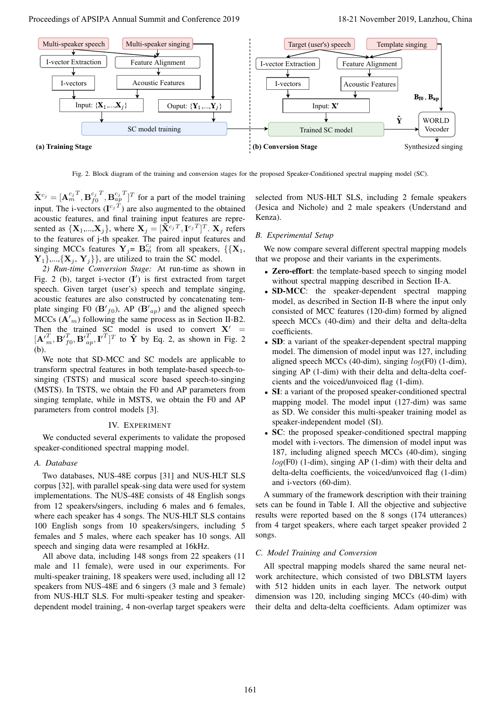

Fig. 2. Block diagram of the training and conversion stages for the proposed Speaker-Conditioned spectral mapping model (SC).

 $\mathbf{\tilde{X}}^{c_j} = [{\mathbf{A}_{m}^{c_j}}^T, {\mathbf{B}_{f0}^{c_j}}]$  $T$ ,  $\mathbf{B}_{ap}^{c_j T}]^T$  for a part of the model training input. The i-vectors  $(I^{c_j T})$  are also augmented to the obtained acoustic features, and final training input features are represented as  $\{X_1,...,X_j\}$ , where  $X_j = [\tilde{X}^{c_j T}, I^{c_j T}]^T$ .  $X_j$  refers to the features of j-th speaker. The paired input features and singing MCCs features  $Y_j = B_m^{c_j}$  from all speakers,  $\{\mathbf{X}_1,$  ${\bf Y}_1\},..., {\bf X}_i, {\bf Y}_j\}$ , are utilized to train the SC model.

*2) Run-time Conversion Stage:* At run-time as shown in Fig. 2 (b), target i-vector  $(I')$  is first extracted from target speech. Given target (user's) speech and template singing, acoustic features are also constructed by concatenating template singing F0 ( $B'_{f0}$ ), AP ( $B'_{ap}$ ) and the aligned speech MCCs  $(\mathbf{A'}_m)$  following the same process as in Section II-B2. Then the trained SC model is used to convert  $X' =$  $[\mathbf{A'}_m^T, \mathbf{B'}_{f0}^T, \mathbf{B'}_{ap}^T, \mathbf{I'}^T]^T$  to  $\hat{\mathbf{Y}}$  by Eq. 2, as shown in Fig. 2 (b).

We note that SD-MCC and SC models are applicable to transform spectral features in both template-based speech-tosinging (TSTS) and musical score based speech-to-singing (MSTS). In TSTS, we obtain the F0 and AP parameters from singing template, while in MSTS, we obtain the F0 and AP parameters from control models [3].

#### IV. EXPERIMENT

We conducted several experiments to validate the proposed speaker-conditioned spectral mapping model.

#### *A. Database*

Two databases, NUS-48E corpus [31] and NUS-HLT SLS corpus [32], with parallel speak-sing data were used for system implementations. The NUS-48E consists of 48 English songs from 12 speakers/singers, including 6 males and 6 females, where each speaker has 4 songs. The NUS-HLT SLS contains 100 English songs from 10 speakers/singers, including 5 females and 5 males, where each speaker has 10 songs. All speech and singing data were resampled at 16kHz.

All above data, including 148 songs from 22 speakers (11 male and 11 female), were used in our experiments. For multi-speaker training, 18 speakers were used, including all 12 speakers from NUS-48E and 6 singers (3 male and 3 female) from NUS-HLT SLS. For multi-speaker testing and speakerdependent model training, 4 non-overlap target speakers were

selected from NUS-HLT SLS, including 2 female speakers (Jesica and Nichole) and 2 male speakers (Understand and Kenza).

#### *B. Experimental Setup*

We now compare several different spectral mapping models that we propose and their variants in the experiments.

- Zero-effort: the template-based speech to singing model without spectral mapping described in Section II-A.
- SD-MCC: the speaker-dependent spectral mapping model, as described in Section II-B where the input only consisted of MCC features (120-dim) formed by aligned speech MCCs (40-dim) and their delta and delta-delta coefficients.
- SD: a variant of the speaker-dependent spectral mapping model. The dimension of model input was 127, including aligned speech MCCs (40-dim), singing  $log(F0)$  (1-dim), singing AP (1-dim) with their delta and delta-delta coefcients and the voiced/unvoiced flag (1-dim).
- SI: a variant of the proposed speaker-conditioned spectral mapping model. The model input (127-dim) was same as SD. We consider this multi-speaker training model as speaker-independent model (SI).
- SC: the proposed speaker-conditioned spectral mapping model with i-vectors. The dimension of model input was 187, including aligned speech MCCs (40-dim), singing  $log(F0)$  (1-dim), singing AP (1-dim) with their delta and delta-delta coefficients, the voiced/unvoiced flag (1-dim) and i-vectors (60-dim).

A summary of the framework description with their training sets can be found in Table I. All the objective and subjective results were reported based on the 8 songs (174 utterances) from 4 target speakers, where each target speaker provided 2 songs.

## *C. Model Training and Conversion*

All spectral mapping models shared the same neural network architecture, which consisted of two DBLSTM layers with 512 hidden units in each layer. The network output dimension was 120, including singing MCCs (40-dim) with their delta and delta-delta coefficients. Adam optimizer was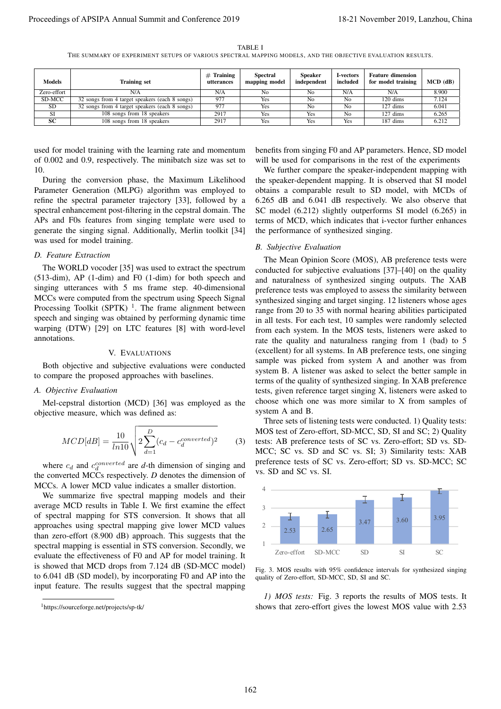TABLE I

THE SUMMARY OF EXPERIMENT SETUPS OF VARIOUS SPECTRAL MAPPING MODELS, AND THE OBJECTIVE EVALUATION RESULTS.

| Models      | <b>Training set</b>                            | $#$ Training<br>utterances | <b>Spectral</b><br>mapping model | <b>Speaker</b><br>independent | I-vectors<br>included | <b>Feature dimension</b><br>for model training | $MCD$ (dB) |
|-------------|------------------------------------------------|----------------------------|----------------------------------|-------------------------------|-----------------------|------------------------------------------------|------------|
| Zero-effort | N/A                                            | N/A                        | No                               | No                            | N/A                   | N/A                                            | 8.900      |
| SD-MCC      | 32 songs from 4 target speakers (each 8 songs) | 977                        | Yes                              | N <sub>0</sub>                | N <sub>0</sub>        | $120 \text{ dims}$                             | 7.124      |
| <b>SD</b>   | 32 songs from 4 target speakers (each 8 songs) | 977                        | Yes                              | No                            | No                    | $127 \text{ dims}$                             | 6.041      |
| SI          | 108 songs from 18 speakers                     | 2917                       | Yes                              | Yes                           | N <sub>0</sub>        | $127 \text{ dims}$                             | 6.265      |
| SC          | 108 songs from 18 speakers                     | 2917                       | Yes                              | Yes                           | <b>Yes</b>            | $187 \text{ dims}$                             | 6.212      |

used for model training with the learning rate and momentum of 0.002 and 0.9, respectively. The minibatch size was set to 10.

During the conversion phase, the Maximum Likelihood Parameter Generation (MLPG) algorithm was employed to refine the spectral parameter trajectory [33], followed by a spectral enhancement post-filtering in the cepstral domain. The APs and F0s features from singing template were used to generate the singing signal. Additionally, Merlin toolkit [34] was used for model training.

## *D. Feature Extraction*

The WORLD vocoder [35] was used to extract the spectrum (513-dim), AP (1-dim) and F0 (1-dim) for both speech and singing utterances with 5 ms frame step. 40-dimensional MCCs were computed from the spectrum using Speech Signal Processing Toolkit (SPTK)<sup> $1$ </sup>. The frame alignment between speech and singing was obtained by performing dynamic time warping (DTW) [29] on LTC features [8] with word-level annotations.

## V. EVALUATIONS

Both objective and subjective evaluations were conducted to compare the proposed approaches with baselines.

# *A. Objective Evaluation*

Mel-cepstral distortion (MCD) [36] was employed as the objective measure, which was defined as:

$$
MCD[dB] = \frac{10}{ln 10} \sqrt{2 \sum_{d=1}^{D} (c_d - c_d^{converted})^2}
$$
 (3)

where  $c_d$  and  $c_d^{converted}$  are d-th dimension of singing and the converted MCCs respectively. *D* denotes the dimension of MCCs. A lower MCD value indicates a smaller distortion.

We summarize five spectral mapping models and their average MCD results in Table I. We first examine the effect of spectral mapping for STS conversion. It shows that all approaches using spectral mapping give lower MCD values than zero-effort (8.900 dB) approach. This suggests that the spectral mapping is essential in STS conversion. Secondly, we evaluate the effectiveness of F0 and AP for model training. It is showed that MCD drops from 7.124 dB (SD-MCC model) to 6.041 dB (SD model), by incorporating F0 and AP into the input feature. The results suggest that the spectral mapping

benefits from singing F0 and AP parameters. Hence, SD model will be used for comparisons in the rest of the experiments

We further compare the speaker-independent mapping with the speaker-dependent mapping. It is observed that SI model obtains a comparable result to SD model, with MCDs of 6.265 dB and 6.041 dB respectively. We also observe that SC model (6.212) slightly outperforms SI model (6.265) in terms of MCD, which indicates that i-vector further enhances the performance of synthesized singing.

## *B. Subjective Evaluation*

The Mean Opinion Score (MOS), AB preference tests were conducted for subjective evaluations [37]–[40] on the quality and naturalness of synthesized singing outputs. The XAB preference tests was employed to assess the similarity between synthesized singing and target singing. 12 listeners whose ages range from 20 to 35 with normal hearing abilities participated in all tests. For each test, 10 samples were randomly selected from each system. In the MOS tests, listeners were asked to rate the quality and naturalness ranging from 1 (bad) to 5 (excellent) for all systems. In AB preference tests, one singing sample was picked from system A and another was from system B. A listener was asked to select the better sample in terms of the quality of synthesized singing. In XAB preference tests, given reference target singing X, listeners were asked to choose which one was more similar to X from samples of system A and B. Proceedings of APSIPA Annual Summit at China 1981<br>
The metrics of Conference 2019 1981 (a)  $\frac{1}{2}$  November 2019 1981 (a)  $\frac{1}{2}$  November 2019 1981 (a)  $\frac{1}{2}$  November 2019 1981 (a)  $\frac{1}{2}$  November 2019 1981 (a

Three sets of listening tests were conducted. 1) Quality tests: MOS test of Zero-effort, SD-MCC, SD, SI and SC; 2) Quality tests: AB preference tests of SC vs. Zero-effort; SD vs. SD-MCC; SC vs. SD and SC vs. SI; 3) Similarity tests: XAB preference tests of SC vs. Zero-effort; SD vs. SD-MCC; SC vs. SD and SC vs. SI.



Fig. 3. MOS results with 95% confidence intervals for synthesized singing quality of Zero-effort, SD-MCC, SD, SI and SC.

*1) MOS tests:* Fig. 3 reports the results of MOS tests. It shows that zero-effort gives the lowest MOS value with 2.53

<sup>1</sup>https://sourceforge.net/projects/sp-tk/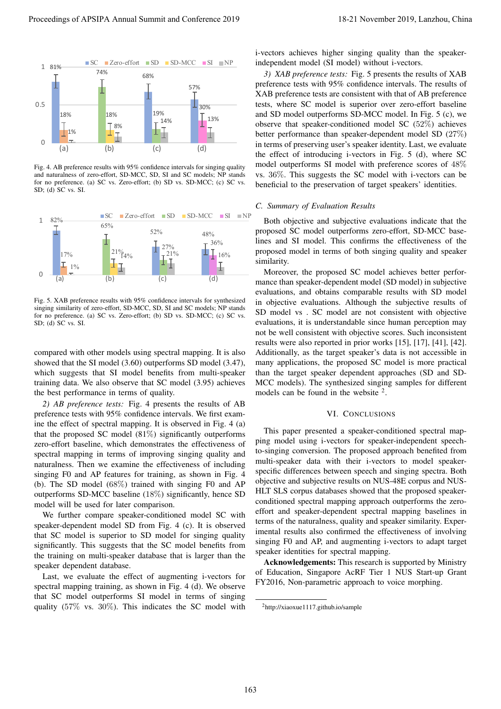

Fig. 4. AB preference results with 95% confidence intervals for singing quality and naturalness of zero-effort, SD-MCC, SD, SI and SC models; NP stands for no preference. (a) SC vs. Zero-effort; (b) SD vs. SD-MCC; (c) SC vs. SD; (d) SC vs. SI.



Fig. 5. XAB preference results with 95% confidence intervals for synthesized singing similarity of zero-effort, SD-MCC, SD, SI and SC models; NP stands for no preference. (a) SC vs. Zero-effort; (b) SD vs. SD-MCC; (c) SC vs. SD; (d) SC vs. SI.

compared with other models using spectral mapping. It is also showed that the SI model (3.60) outperforms SD model (3.47), which suggests that SI model benefits from multi-speaker training data. We also observe that SC model (3.95) achieves the best performance in terms of quality.

*2) AB preference tests:* Fig. 4 presents the results of AB preference tests with 95% confidence intervals. We first examine the effect of spectral mapping. It is observed in Fig. 4 (a) that the proposed SC model  $(81\%)$  significantly outperforms zero-effort baseline, which demonstrates the effectiveness of spectral mapping in terms of improving singing quality and naturalness. Then we examine the effectiveness of including singing F0 and AP features for training, as shown in Fig. 4 (b). The SD model (68%) trained with singing F0 and AP outperforms SD-MCC baseline (18%) significantly, hence SD model will be used for later comparison.

We further compare speaker-conditioned model SC with speaker-dependent model SD from Fig. 4 (c). It is observed that SC model is superior to SD model for singing quality significantly. This suggests that the SC model benefits from the training on multi-speaker database that is larger than the speaker dependent database.

Last, we evaluate the effect of augmenting i-vectors for spectral mapping training, as shown in Fig. 4 (d). We observe that SC model outperforms SI model in terms of singing quality ( $57\%$  vs.  $30\%$ ). This indicates the SC model with

i-vectors achieves higher singing quality than the speakerindependent model (SI model) without i-vectors.

*3) XAB preference tests:* Fig. 5 presents the results of XAB preference tests with 95% confidence intervals. The results of XAB preference tests are consistent with that of AB preference tests, where SC model is superior over zero-effort baseline and SD model outperforms SD-MCC model. In Fig. 5 (c), we observe that speaker-conditioned model SC (52%) achieves better performance than speaker-dependent model SD (27%) in terms of preserving user's speaker identity. Last, we evaluate the effect of introducing i-vectors in Fig. 5 (d), where SC model outperforms SI model with preference scores of 48% vs. 36%. This suggests the SC model with i-vectors can be beneficial to the preservation of target speakers' identities.

## *C. Summary of Evaluation Results*

Both objective and subjective evaluations indicate that the proposed SC model outperforms zero-effort, SD-MCC baselines and SI model. This confirms the effectiveness of the proposed model in terms of both singing quality and speaker similarity.

Moreover, the proposed SC model achieves better performance than speaker-dependent model (SD model) in subjective evaluations, and obtains comparable results with SD model in objective evaluations. Although the subjective results of SD model vs . SC model are not consistent with objective evaluations, it is understandable since human perception may not be well consistent with objective scores. Such inconsistent results were also reported in prior works [15], [17], [41], [42]. Additionally, as the target speaker's data is not accessible in many applications, the proposed SC model is more practical than the target speaker dependent approaches (SD and SD-MCC models). The synthesized singing samples for different models can be found in the website <sup>2</sup>.

#### VI. CONCLUSIONS

This paper presented a speaker-conditioned spectral mapping model using i-vectors for speaker-independent speechto-singing conversion. The proposed approach benefited from multi-speaker data with their i-vectors to model speakerspecific differences between speech and singing spectra. Both objective and subjective results on NUS-48E corpus and NUS-HLT SLS corpus databases showed that the proposed speakerconditioned spectral mapping approach outperforms the zeroeffort and speaker-dependent spectral mapping baselines in terms of the naturalness, quality and speaker similarity. Experimental results also confirmed the effectiveness of involving singing F0 and AP, and augmenting i-vectors to adapt target speaker identities for spectral mapping. Proceeding of APSIPA Annual Summit at China 2019 18-21 November 2018 2019 18-21 November 2019 18-21 November 2019 18-21 November 2019 18-21 November 2019 18-21 November 2019 18-21 November 2019 18-21 November 2019 18-21 N

Acknowledgements: This research is supported by Ministry of Education, Singapore AcRF Tier 1 NUS Start-up Grant FY2016, Non-parametric approach to voice morphing.

<sup>2</sup>http://xiaoxue1117.github.io/sample